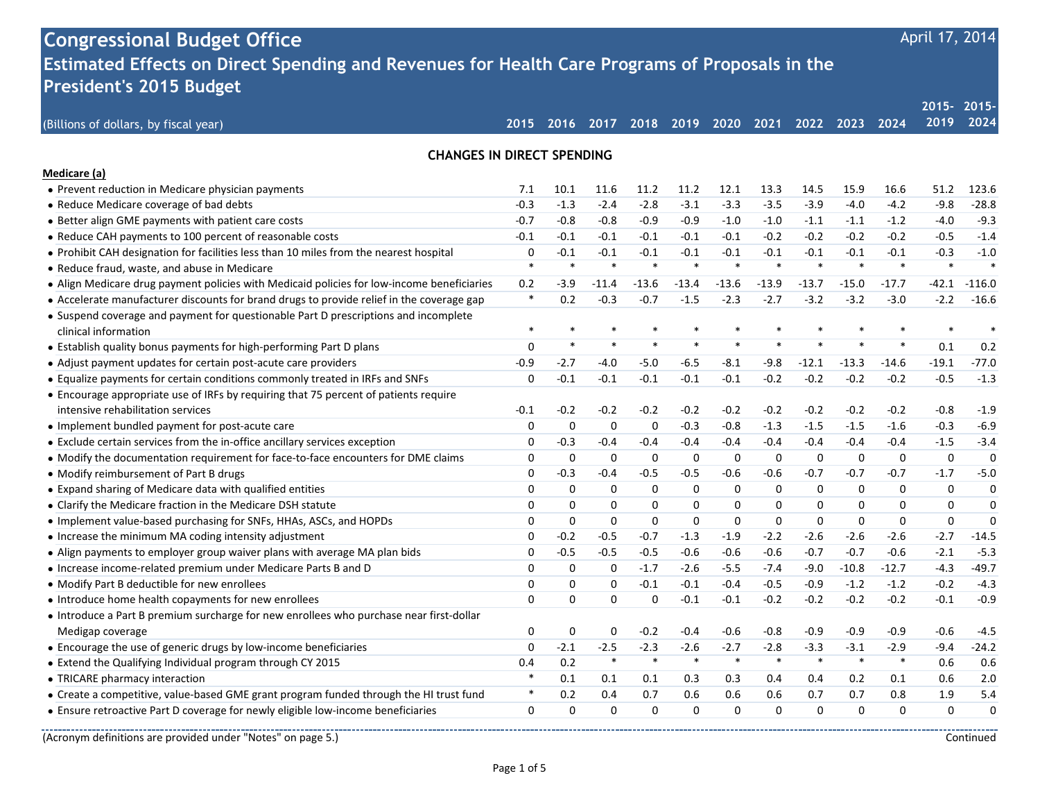| <b>Congressional Budget Office</b><br>Estimated Effects on Direct Spending and Revenues for Health Care Programs of Proposals in the<br><b>President's 2015 Budget</b><br>$2015 -$<br>$2015 -$<br>2024<br>2019<br>2020 2021<br>2016<br>2017 2018 2019<br>2022 2023<br>2024<br>(Billions of dollars, by fiscal year)<br>2015<br><b>CHANGES IN DIRECT SPENDING</b><br>Medicare (a)<br>• Prevent reduction in Medicare physician payments<br>10.1<br>11.2<br>11.2<br>12.1<br>13.3<br>14.5<br>15.9<br>16.6<br>51.2<br>123.6<br>7.1<br>11.6<br>$-0.3$<br>$-2.8$<br>$-3.1$<br>$-3.3$<br>$-3.9$<br>$-4.0$<br>$-9.8$<br>• Reduce Medicare coverage of bad debts<br>$-1.3$<br>$-2.4$<br>$-3.5$<br>$-4.2$<br>$-28.8$<br>$-0.9$<br>$-0.9$<br>$-1.0$<br>$-1.2$<br>$-9.3$<br>• Better align GME payments with patient care costs<br>$-0.7$<br>$-0.8$<br>$-0.8$<br>$-1.0$<br>$-1.1$<br>$-1.1$<br>$-4.0$<br>$-0.1$<br>$-0.2$<br>$-0.2$<br>$-1.4$<br>• Reduce CAH payments to 100 percent of reasonable costs<br>$-0.1$<br>$-0.1$<br>$-0.1$<br>$-0.1$<br>$-0.1$<br>$-0.2$<br>$-0.2$<br>$-0.5$<br>$-0.1$<br>$-0.1$<br>$-0.1$<br>$-0.1$<br>$-0.1$<br>$-0.1$<br>$-1.0$<br>• Prohibit CAH designation for facilities less than 10 miles from the nearest hospital<br>0<br>$-0.1$<br>$-0.1$<br>$-0.1$<br>$-0.3$<br>$\ast$<br>$\ast$<br>$\ast$<br>$\ast$<br>$\ast$<br>$\ast$<br>$\ast$<br>$\ast$<br>$\ast$<br>$\ast$<br>$\ast$<br>$\ast$<br>• Reduce fraud, waste, and abuse in Medicare<br>• Align Medicare drug payment policies with Medicaid policies for low-income beneficiaries<br>$-13.6$<br>$-13.6$<br>$-42.1$<br>$-116.0$<br>0.2<br>$-3.9$<br>$-11.4$<br>$-13.4$<br>$-13.9$<br>$-13.7$<br>$-15.0$<br>$-17.7$<br>$\ast$<br>• Accelerate manufacturer discounts for brand drugs to provide relief in the coverage gap<br>0.2<br>$-0.3$<br>$-0.7$<br>$-2.3$<br>$-3.2$<br>$-3.2$<br>$-3.0$<br>$-2.2$<br>$-1.5$<br>$-2.7$<br>$-16.6$<br>• Suspend coverage and payment for questionable Part D prescriptions and incomplete<br>$\ast$<br>$\ast$<br>×<br>$\ast$<br>clinical information<br>$\ast$<br>$\ast$<br>$\ast$<br>$\ast$<br>$\ast$<br>$\ast$<br>$\ast$<br>$\ast$<br>$\ast$<br>$\mathbf 0$<br>0.1<br>• Establish quality bonus payments for high-performing Part D plans<br>0.2<br>$-5.0$<br>$-6.5$<br>$-13.3$<br>$-19.1$<br>$-77.0$<br>• Adjust payment updates for certain post-acute care providers<br>$-0.9$<br>$-2.7$<br>-4.0<br>$-8.1$<br>$-9.8$<br>$-12.1$<br>-14.6<br>$-0.1$<br>• Equalize payments for certain conditions commonly treated in IRFs and SNFs<br>$\mathbf 0$<br>$-0.1$<br>$-0.1$<br>$-0.1$<br>$-0.1$<br>$-0.2$<br>$-0.2$<br>$-0.2$<br>$-0.2$<br>$-0.5$<br>$-1.3$<br>• Encourage appropriate use of IRFs by requiring that 75 percent of patients require<br>intensive rehabilitation services<br>$-0.2$<br>$-0.2$<br>$-0.2$<br>$-0.2$<br>$-0.8$<br>$-0.1$<br>$-0.2$<br>$-0.2$<br>$-0.2$<br>$-0.2$<br>$-0.2$<br>$-1.9$<br>0<br>0<br>$\mathbf 0$<br>$-0.3$<br>$-0.8$<br>$-1.5$<br>$-1.6$<br>$-0.3$<br>$-6.9$<br>• Implement bundled payment for post-acute care<br>0<br>$-1.3$<br>$-1.5$<br>$-3.4$<br>• Exclude certain services from the in-office ancillary services exception<br>$-0.3$<br>$-0.4$<br>$-0.4$<br>$-0.4$<br>$-0.4$<br>$-0.4$<br>$-0.4$<br>$-0.4$<br>$-1.5$<br>0<br>$-0.4$<br>• Modify the documentation requirement for face-to-face encounters for DME claims<br>0<br>0<br>$\mathbf 0$<br>0<br>$\mathbf 0$<br>0<br>0<br>0<br>0<br>0<br>0<br>0<br>$-5.0$<br>• Modify reimbursement of Part B drugs<br>0<br>$-0.3$<br>$-0.4$<br>$-0.5$<br>$-0.5$<br>$-0.6$<br>$-0.6$<br>$-0.7$<br>$-0.7$<br>$-0.7$<br>$-1.7$ |
|--------------------------------------------------------------------------------------------------------------------------------------------------------------------------------------------------------------------------------------------------------------------------------------------------------------------------------------------------------------------------------------------------------------------------------------------------------------------------------------------------------------------------------------------------------------------------------------------------------------------------------------------------------------------------------------------------------------------------------------------------------------------------------------------------------------------------------------------------------------------------------------------------------------------------------------------------------------------------------------------------------------------------------------------------------------------------------------------------------------------------------------------------------------------------------------------------------------------------------------------------------------------------------------------------------------------------------------------------------------------------------------------------------------------------------------------------------------------------------------------------------------------------------------------------------------------------------------------------------------------------------------------------------------------------------------------------------------------------------------------------------------------------------------------------------------------------------------------------------------------------------------------------------------------------------------------------------------------------------------------------------------------------------------------------------------------------------------------------------------------------------------------------------------------------------------------------------------------------------------------------------------------------------------------------------------------------------------------------------------------------------------------------------------------------------------------------------------------------------------------------------------------------------------------------------------------------------------------------------------------------------------------------------------------------------------------------------------------------------------------------------------------------------------------------------------------------------------------------------------------------------------------------------------------------------------------------------------------------------------------------------------------------------------------------------------------------------------------------------------------------------------------------------------------------------------------------------------------------------------------------------------------------------------------------------------------------------------------------------------------------------------------------------------------------------------------------------------------------------------------------------------------------------------------------------------------------------------------------------------------------------------|
|                                                                                                                                                                                                                                                                                                                                                                                                                                                                                                                                                                                                                                                                                                                                                                                                                                                                                                                                                                                                                                                                                                                                                                                                                                                                                                                                                                                                                                                                                                                                                                                                                                                                                                                                                                                                                                                                                                                                                                                                                                                                                                                                                                                                                                                                                                                                                                                                                                                                                                                                                                                                                                                                                                                                                                                                                                                                                                                                                                                                                                                                                                                                                                                                                                                                                                                                                                                                                                                                                                                                                                                                                                      |
|                                                                                                                                                                                                                                                                                                                                                                                                                                                                                                                                                                                                                                                                                                                                                                                                                                                                                                                                                                                                                                                                                                                                                                                                                                                                                                                                                                                                                                                                                                                                                                                                                                                                                                                                                                                                                                                                                                                                                                                                                                                                                                                                                                                                                                                                                                                                                                                                                                                                                                                                                                                                                                                                                                                                                                                                                                                                                                                                                                                                                                                                                                                                                                                                                                                                                                                                                                                                                                                                                                                                                                                                                                      |
|                                                                                                                                                                                                                                                                                                                                                                                                                                                                                                                                                                                                                                                                                                                                                                                                                                                                                                                                                                                                                                                                                                                                                                                                                                                                                                                                                                                                                                                                                                                                                                                                                                                                                                                                                                                                                                                                                                                                                                                                                                                                                                                                                                                                                                                                                                                                                                                                                                                                                                                                                                                                                                                                                                                                                                                                                                                                                                                                                                                                                                                                                                                                                                                                                                                                                                                                                                                                                                                                                                                                                                                                                                      |
|                                                                                                                                                                                                                                                                                                                                                                                                                                                                                                                                                                                                                                                                                                                                                                                                                                                                                                                                                                                                                                                                                                                                                                                                                                                                                                                                                                                                                                                                                                                                                                                                                                                                                                                                                                                                                                                                                                                                                                                                                                                                                                                                                                                                                                                                                                                                                                                                                                                                                                                                                                                                                                                                                                                                                                                                                                                                                                                                                                                                                                                                                                                                                                                                                                                                                                                                                                                                                                                                                                                                                                                                                                      |
|                                                                                                                                                                                                                                                                                                                                                                                                                                                                                                                                                                                                                                                                                                                                                                                                                                                                                                                                                                                                                                                                                                                                                                                                                                                                                                                                                                                                                                                                                                                                                                                                                                                                                                                                                                                                                                                                                                                                                                                                                                                                                                                                                                                                                                                                                                                                                                                                                                                                                                                                                                                                                                                                                                                                                                                                                                                                                                                                                                                                                                                                                                                                                                                                                                                                                                                                                                                                                                                                                                                                                                                                                                      |
|                                                                                                                                                                                                                                                                                                                                                                                                                                                                                                                                                                                                                                                                                                                                                                                                                                                                                                                                                                                                                                                                                                                                                                                                                                                                                                                                                                                                                                                                                                                                                                                                                                                                                                                                                                                                                                                                                                                                                                                                                                                                                                                                                                                                                                                                                                                                                                                                                                                                                                                                                                                                                                                                                                                                                                                                                                                                                                                                                                                                                                                                                                                                                                                                                                                                                                                                                                                                                                                                                                                                                                                                                                      |
|                                                                                                                                                                                                                                                                                                                                                                                                                                                                                                                                                                                                                                                                                                                                                                                                                                                                                                                                                                                                                                                                                                                                                                                                                                                                                                                                                                                                                                                                                                                                                                                                                                                                                                                                                                                                                                                                                                                                                                                                                                                                                                                                                                                                                                                                                                                                                                                                                                                                                                                                                                                                                                                                                                                                                                                                                                                                                                                                                                                                                                                                                                                                                                                                                                                                                                                                                                                                                                                                                                                                                                                                                                      |
|                                                                                                                                                                                                                                                                                                                                                                                                                                                                                                                                                                                                                                                                                                                                                                                                                                                                                                                                                                                                                                                                                                                                                                                                                                                                                                                                                                                                                                                                                                                                                                                                                                                                                                                                                                                                                                                                                                                                                                                                                                                                                                                                                                                                                                                                                                                                                                                                                                                                                                                                                                                                                                                                                                                                                                                                                                                                                                                                                                                                                                                                                                                                                                                                                                                                                                                                                                                                                                                                                                                                                                                                                                      |
|                                                                                                                                                                                                                                                                                                                                                                                                                                                                                                                                                                                                                                                                                                                                                                                                                                                                                                                                                                                                                                                                                                                                                                                                                                                                                                                                                                                                                                                                                                                                                                                                                                                                                                                                                                                                                                                                                                                                                                                                                                                                                                                                                                                                                                                                                                                                                                                                                                                                                                                                                                                                                                                                                                                                                                                                                                                                                                                                                                                                                                                                                                                                                                                                                                                                                                                                                                                                                                                                                                                                                                                                                                      |
|                                                                                                                                                                                                                                                                                                                                                                                                                                                                                                                                                                                                                                                                                                                                                                                                                                                                                                                                                                                                                                                                                                                                                                                                                                                                                                                                                                                                                                                                                                                                                                                                                                                                                                                                                                                                                                                                                                                                                                                                                                                                                                                                                                                                                                                                                                                                                                                                                                                                                                                                                                                                                                                                                                                                                                                                                                                                                                                                                                                                                                                                                                                                                                                                                                                                                                                                                                                                                                                                                                                                                                                                                                      |
|                                                                                                                                                                                                                                                                                                                                                                                                                                                                                                                                                                                                                                                                                                                                                                                                                                                                                                                                                                                                                                                                                                                                                                                                                                                                                                                                                                                                                                                                                                                                                                                                                                                                                                                                                                                                                                                                                                                                                                                                                                                                                                                                                                                                                                                                                                                                                                                                                                                                                                                                                                                                                                                                                                                                                                                                                                                                                                                                                                                                                                                                                                                                                                                                                                                                                                                                                                                                                                                                                                                                                                                                                                      |
|                                                                                                                                                                                                                                                                                                                                                                                                                                                                                                                                                                                                                                                                                                                                                                                                                                                                                                                                                                                                                                                                                                                                                                                                                                                                                                                                                                                                                                                                                                                                                                                                                                                                                                                                                                                                                                                                                                                                                                                                                                                                                                                                                                                                                                                                                                                                                                                                                                                                                                                                                                                                                                                                                                                                                                                                                                                                                                                                                                                                                                                                                                                                                                                                                                                                                                                                                                                                                                                                                                                                                                                                                                      |
|                                                                                                                                                                                                                                                                                                                                                                                                                                                                                                                                                                                                                                                                                                                                                                                                                                                                                                                                                                                                                                                                                                                                                                                                                                                                                                                                                                                                                                                                                                                                                                                                                                                                                                                                                                                                                                                                                                                                                                                                                                                                                                                                                                                                                                                                                                                                                                                                                                                                                                                                                                                                                                                                                                                                                                                                                                                                                                                                                                                                                                                                                                                                                                                                                                                                                                                                                                                                                                                                                                                                                                                                                                      |
|                                                                                                                                                                                                                                                                                                                                                                                                                                                                                                                                                                                                                                                                                                                                                                                                                                                                                                                                                                                                                                                                                                                                                                                                                                                                                                                                                                                                                                                                                                                                                                                                                                                                                                                                                                                                                                                                                                                                                                                                                                                                                                                                                                                                                                                                                                                                                                                                                                                                                                                                                                                                                                                                                                                                                                                                                                                                                                                                                                                                                                                                                                                                                                                                                                                                                                                                                                                                                                                                                                                                                                                                                                      |
|                                                                                                                                                                                                                                                                                                                                                                                                                                                                                                                                                                                                                                                                                                                                                                                                                                                                                                                                                                                                                                                                                                                                                                                                                                                                                                                                                                                                                                                                                                                                                                                                                                                                                                                                                                                                                                                                                                                                                                                                                                                                                                                                                                                                                                                                                                                                                                                                                                                                                                                                                                                                                                                                                                                                                                                                                                                                                                                                                                                                                                                                                                                                                                                                                                                                                                                                                                                                                                                                                                                                                                                                                                      |
|                                                                                                                                                                                                                                                                                                                                                                                                                                                                                                                                                                                                                                                                                                                                                                                                                                                                                                                                                                                                                                                                                                                                                                                                                                                                                                                                                                                                                                                                                                                                                                                                                                                                                                                                                                                                                                                                                                                                                                                                                                                                                                                                                                                                                                                                                                                                                                                                                                                                                                                                                                                                                                                                                                                                                                                                                                                                                                                                                                                                                                                                                                                                                                                                                                                                                                                                                                                                                                                                                                                                                                                                                                      |
|                                                                                                                                                                                                                                                                                                                                                                                                                                                                                                                                                                                                                                                                                                                                                                                                                                                                                                                                                                                                                                                                                                                                                                                                                                                                                                                                                                                                                                                                                                                                                                                                                                                                                                                                                                                                                                                                                                                                                                                                                                                                                                                                                                                                                                                                                                                                                                                                                                                                                                                                                                                                                                                                                                                                                                                                                                                                                                                                                                                                                                                                                                                                                                                                                                                                                                                                                                                                                                                                                                                                                                                                                                      |
|                                                                                                                                                                                                                                                                                                                                                                                                                                                                                                                                                                                                                                                                                                                                                                                                                                                                                                                                                                                                                                                                                                                                                                                                                                                                                                                                                                                                                                                                                                                                                                                                                                                                                                                                                                                                                                                                                                                                                                                                                                                                                                                                                                                                                                                                                                                                                                                                                                                                                                                                                                                                                                                                                                                                                                                                                                                                                                                                                                                                                                                                                                                                                                                                                                                                                                                                                                                                                                                                                                                                                                                                                                      |
|                                                                                                                                                                                                                                                                                                                                                                                                                                                                                                                                                                                                                                                                                                                                                                                                                                                                                                                                                                                                                                                                                                                                                                                                                                                                                                                                                                                                                                                                                                                                                                                                                                                                                                                                                                                                                                                                                                                                                                                                                                                                                                                                                                                                                                                                                                                                                                                                                                                                                                                                                                                                                                                                                                                                                                                                                                                                                                                                                                                                                                                                                                                                                                                                                                                                                                                                                                                                                                                                                                                                                                                                                                      |
|                                                                                                                                                                                                                                                                                                                                                                                                                                                                                                                                                                                                                                                                                                                                                                                                                                                                                                                                                                                                                                                                                                                                                                                                                                                                                                                                                                                                                                                                                                                                                                                                                                                                                                                                                                                                                                                                                                                                                                                                                                                                                                                                                                                                                                                                                                                                                                                                                                                                                                                                                                                                                                                                                                                                                                                                                                                                                                                                                                                                                                                                                                                                                                                                                                                                                                                                                                                                                                                                                                                                                                                                                                      |
|                                                                                                                                                                                                                                                                                                                                                                                                                                                                                                                                                                                                                                                                                                                                                                                                                                                                                                                                                                                                                                                                                                                                                                                                                                                                                                                                                                                                                                                                                                                                                                                                                                                                                                                                                                                                                                                                                                                                                                                                                                                                                                                                                                                                                                                                                                                                                                                                                                                                                                                                                                                                                                                                                                                                                                                                                                                                                                                                                                                                                                                                                                                                                                                                                                                                                                                                                                                                                                                                                                                                                                                                                                      |
|                                                                                                                                                                                                                                                                                                                                                                                                                                                                                                                                                                                                                                                                                                                                                                                                                                                                                                                                                                                                                                                                                                                                                                                                                                                                                                                                                                                                                                                                                                                                                                                                                                                                                                                                                                                                                                                                                                                                                                                                                                                                                                                                                                                                                                                                                                                                                                                                                                                                                                                                                                                                                                                                                                                                                                                                                                                                                                                                                                                                                                                                                                                                                                                                                                                                                                                                                                                                                                                                                                                                                                                                                                      |
|                                                                                                                                                                                                                                                                                                                                                                                                                                                                                                                                                                                                                                                                                                                                                                                                                                                                                                                                                                                                                                                                                                                                                                                                                                                                                                                                                                                                                                                                                                                                                                                                                                                                                                                                                                                                                                                                                                                                                                                                                                                                                                                                                                                                                                                                                                                                                                                                                                                                                                                                                                                                                                                                                                                                                                                                                                                                                                                                                                                                                                                                                                                                                                                                                                                                                                                                                                                                                                                                                                                                                                                                                                      |
|                                                                                                                                                                                                                                                                                                                                                                                                                                                                                                                                                                                                                                                                                                                                                                                                                                                                                                                                                                                                                                                                                                                                                                                                                                                                                                                                                                                                                                                                                                                                                                                                                                                                                                                                                                                                                                                                                                                                                                                                                                                                                                                                                                                                                                                                                                                                                                                                                                                                                                                                                                                                                                                                                                                                                                                                                                                                                                                                                                                                                                                                                                                                                                                                                                                                                                                                                                                                                                                                                                                                                                                                                                      |
| • Expand sharing of Medicare data with qualified entities<br>0<br>0<br>0<br>0<br>0<br>0<br>0<br>0<br>0<br>0<br>0<br>0                                                                                                                                                                                                                                                                                                                                                                                                                                                                                                                                                                                                                                                                                                                                                                                                                                                                                                                                                                                                                                                                                                                                                                                                                                                                                                                                                                                                                                                                                                                                                                                                                                                                                                                                                                                                                                                                                                                                                                                                                                                                                                                                                                                                                                                                                                                                                                                                                                                                                                                                                                                                                                                                                                                                                                                                                                                                                                                                                                                                                                                                                                                                                                                                                                                                                                                                                                                                                                                                                                                |
| • Clarify the Medicare fraction in the Medicare DSH statute<br>0<br>$\mathbf 0$<br>0<br>0<br>0<br>0<br>0<br>0<br>$\mathbf 0$<br>0<br>0<br>0                                                                                                                                                                                                                                                                                                                                                                                                                                                                                                                                                                                                                                                                                                                                                                                                                                                                                                                                                                                                                                                                                                                                                                                                                                                                                                                                                                                                                                                                                                                                                                                                                                                                                                                                                                                                                                                                                                                                                                                                                                                                                                                                                                                                                                                                                                                                                                                                                                                                                                                                                                                                                                                                                                                                                                                                                                                                                                                                                                                                                                                                                                                                                                                                                                                                                                                                                                                                                                                                                          |
| • Implement value-based purchasing for SNFs, HHAs, ASCs, and HOPDs<br>0<br>$\mathbf 0$<br>0<br>0<br>0<br>$\mathbf 0$<br>0<br>$\mathbf 0$<br>$\mathbf 0$<br>0<br>0<br>0                                                                                                                                                                                                                                                                                                                                                                                                                                                                                                                                                                                                                                                                                                                                                                                                                                                                                                                                                                                                                                                                                                                                                                                                                                                                                                                                                                                                                                                                                                                                                                                                                                                                                                                                                                                                                                                                                                                                                                                                                                                                                                                                                                                                                                                                                                                                                                                                                                                                                                                                                                                                                                                                                                                                                                                                                                                                                                                                                                                                                                                                                                                                                                                                                                                                                                                                                                                                                                                               |
| • Increase the minimum MA coding intensity adjustment<br>0<br>$-0.2$<br>$-0.5$<br>$-0.7$<br>$-1.3$<br>$-2.2$<br>$-2.6$<br>$-2.6$<br>$-2.6$<br>$-2.7$<br>$-14.5$<br>$-1.9$                                                                                                                                                                                                                                                                                                                                                                                                                                                                                                                                                                                                                                                                                                                                                                                                                                                                                                                                                                                                                                                                                                                                                                                                                                                                                                                                                                                                                                                                                                                                                                                                                                                                                                                                                                                                                                                                                                                                                                                                                                                                                                                                                                                                                                                                                                                                                                                                                                                                                                                                                                                                                                                                                                                                                                                                                                                                                                                                                                                                                                                                                                                                                                                                                                                                                                                                                                                                                                                            |
| • Align payments to employer group waiver plans with average MA plan bids<br>0<br>$-0.5$<br>$-0.5$<br>$-0.5$<br>$-0.6$<br>$-0.6$<br>$-0.6$<br>$-0.7$<br>$-0.7$<br>$-0.6$<br>$-2.1$<br>$-5.3$                                                                                                                                                                                                                                                                                                                                                                                                                                                                                                                                                                                                                                                                                                                                                                                                                                                                                                                                                                                                                                                                                                                                                                                                                                                                                                                                                                                                                                                                                                                                                                                                                                                                                                                                                                                                                                                                                                                                                                                                                                                                                                                                                                                                                                                                                                                                                                                                                                                                                                                                                                                                                                                                                                                                                                                                                                                                                                                                                                                                                                                                                                                                                                                                                                                                                                                                                                                                                                         |
| $-49.7$<br>• Increase income-related premium under Medicare Parts B and D<br>0<br>0<br>0<br>$-1.7$<br>$-2.6$<br>$-5.5$<br>$-9.0$<br>$-10.8$<br>$-12.7$<br>$-4.3$<br>$-7.4$                                                                                                                                                                                                                                                                                                                                                                                                                                                                                                                                                                                                                                                                                                                                                                                                                                                                                                                                                                                                                                                                                                                                                                                                                                                                                                                                                                                                                                                                                                                                                                                                                                                                                                                                                                                                                                                                                                                                                                                                                                                                                                                                                                                                                                                                                                                                                                                                                                                                                                                                                                                                                                                                                                                                                                                                                                                                                                                                                                                                                                                                                                                                                                                                                                                                                                                                                                                                                                                           |
| • Modify Part B deductible for new enrollees<br>$-0.1$<br>$-0.4$<br>$-0.9$<br>$-0.2$<br>$-4.3$<br>0<br>0<br>0<br>$-0.1$<br>$-0.5$<br>$-1.2$<br>$-1.2$                                                                                                                                                                                                                                                                                                                                                                                                                                                                                                                                                                                                                                                                                                                                                                                                                                                                                                                                                                                                                                                                                                                                                                                                                                                                                                                                                                                                                                                                                                                                                                                                                                                                                                                                                                                                                                                                                                                                                                                                                                                                                                                                                                                                                                                                                                                                                                                                                                                                                                                                                                                                                                                                                                                                                                                                                                                                                                                                                                                                                                                                                                                                                                                                                                                                                                                                                                                                                                                                                |
| $\mathbf 0$<br>$-0.9$<br>• Introduce home health copayments for new enrollees<br>$\Omega$<br>0<br>0<br>$-0.1$<br>$-0.1$<br>$-0.2$<br>$-0.2$<br>$-0.2$<br>$-0.2$<br>$-0.1$                                                                                                                                                                                                                                                                                                                                                                                                                                                                                                                                                                                                                                                                                                                                                                                                                                                                                                                                                                                                                                                                                                                                                                                                                                                                                                                                                                                                                                                                                                                                                                                                                                                                                                                                                                                                                                                                                                                                                                                                                                                                                                                                                                                                                                                                                                                                                                                                                                                                                                                                                                                                                                                                                                                                                                                                                                                                                                                                                                                                                                                                                                                                                                                                                                                                                                                                                                                                                                                            |
| • Introduce a Part B premium surcharge for new enrollees who purchase near first-dollar                                                                                                                                                                                                                                                                                                                                                                                                                                                                                                                                                                                                                                                                                                                                                                                                                                                                                                                                                                                                                                                                                                                                                                                                                                                                                                                                                                                                                                                                                                                                                                                                                                                                                                                                                                                                                                                                                                                                                                                                                                                                                                                                                                                                                                                                                                                                                                                                                                                                                                                                                                                                                                                                                                                                                                                                                                                                                                                                                                                                                                                                                                                                                                                                                                                                                                                                                                                                                                                                                                                                              |
| $-0.2$<br>$-0.4$<br>$-0.6$<br>0<br>0<br>0<br>$-0.6$<br>$-0.8$<br>$-0.9$<br>$-0.9$<br>$-0.9$<br>$-4.5$<br>Medigap coverage                                                                                                                                                                                                                                                                                                                                                                                                                                                                                                                                                                                                                                                                                                                                                                                                                                                                                                                                                                                                                                                                                                                                                                                                                                                                                                                                                                                                                                                                                                                                                                                                                                                                                                                                                                                                                                                                                                                                                                                                                                                                                                                                                                                                                                                                                                                                                                                                                                                                                                                                                                                                                                                                                                                                                                                                                                                                                                                                                                                                                                                                                                                                                                                                                                                                                                                                                                                                                                                                                                            |
| • Encourage the use of generic drugs by low-income beneficiaries<br>$-2.7$<br>$-3.3$<br>0<br>$-2.1$<br>$-2.5$<br>$-2.3$<br>$-2.6$<br>$-2.8$<br>$-3.1$<br>$-2.9$<br>$-9.4$<br>$-24.2$                                                                                                                                                                                                                                                                                                                                                                                                                                                                                                                                                                                                                                                                                                                                                                                                                                                                                                                                                                                                                                                                                                                                                                                                                                                                                                                                                                                                                                                                                                                                                                                                                                                                                                                                                                                                                                                                                                                                                                                                                                                                                                                                                                                                                                                                                                                                                                                                                                                                                                                                                                                                                                                                                                                                                                                                                                                                                                                                                                                                                                                                                                                                                                                                                                                                                                                                                                                                                                                 |
| $\ast$<br>$\ast$<br>$\ast$<br>$\ast$<br>$\ast$<br>$\ast$<br>$\ast$<br>$\ast$<br>0.2<br>0.6<br>0.6<br>• Extend the Qualifying Individual program through CY 2015<br>0.4                                                                                                                                                                                                                                                                                                                                                                                                                                                                                                                                                                                                                                                                                                                                                                                                                                                                                                                                                                                                                                                                                                                                                                                                                                                                                                                                                                                                                                                                                                                                                                                                                                                                                                                                                                                                                                                                                                                                                                                                                                                                                                                                                                                                                                                                                                                                                                                                                                                                                                                                                                                                                                                                                                                                                                                                                                                                                                                                                                                                                                                                                                                                                                                                                                                                                                                                                                                                                                                               |
| $\ast$<br>• TRICARE pharmacy interaction<br>0.1<br>$0.1\,$<br>0.1<br>0.2<br>0.6<br>2.0<br>0.3<br>0.3<br>0.4<br>0.4<br>0.1                                                                                                                                                                                                                                                                                                                                                                                                                                                                                                                                                                                                                                                                                                                                                                                                                                                                                                                                                                                                                                                                                                                                                                                                                                                                                                                                                                                                                                                                                                                                                                                                                                                                                                                                                                                                                                                                                                                                                                                                                                                                                                                                                                                                                                                                                                                                                                                                                                                                                                                                                                                                                                                                                                                                                                                                                                                                                                                                                                                                                                                                                                                                                                                                                                                                                                                                                                                                                                                                                                            |
| $\ast$<br>• Create a competitive, value-based GME grant program funded through the HI trust fund<br>0.2<br>0.4<br>0.7<br>0.6<br>0.6<br>0.6<br>0.7<br>0.7<br>0.8<br>1.9<br>5.4                                                                                                                                                                                                                                                                                                                                                                                                                                                                                                                                                                                                                                                                                                                                                                                                                                                                                                                                                                                                                                                                                                                                                                                                                                                                                                                                                                                                                                                                                                                                                                                                                                                                                                                                                                                                                                                                                                                                                                                                                                                                                                                                                                                                                                                                                                                                                                                                                                                                                                                                                                                                                                                                                                                                                                                                                                                                                                                                                                                                                                                                                                                                                                                                                                                                                                                                                                                                                                                        |
| • Ensure retroactive Part D coverage for newly eligible low-income beneficiaries<br>0<br>0<br>0<br>0<br>0<br>0<br>0<br>0<br>0<br>0<br>0<br>0                                                                                                                                                                                                                                                                                                                                                                                                                                                                                                                                                                                                                                                                                                                                                                                                                                                                                                                                                                                                                                                                                                                                                                                                                                                                                                                                                                                                                                                                                                                                                                                                                                                                                                                                                                                                                                                                                                                                                                                                                                                                                                                                                                                                                                                                                                                                                                                                                                                                                                                                                                                                                                                                                                                                                                                                                                                                                                                                                                                                                                                                                                                                                                                                                                                                                                                                                                                                                                                                                         |

(Acronym definitions are provided under "Notes" on page 5.) Continued

April 17,  $2014$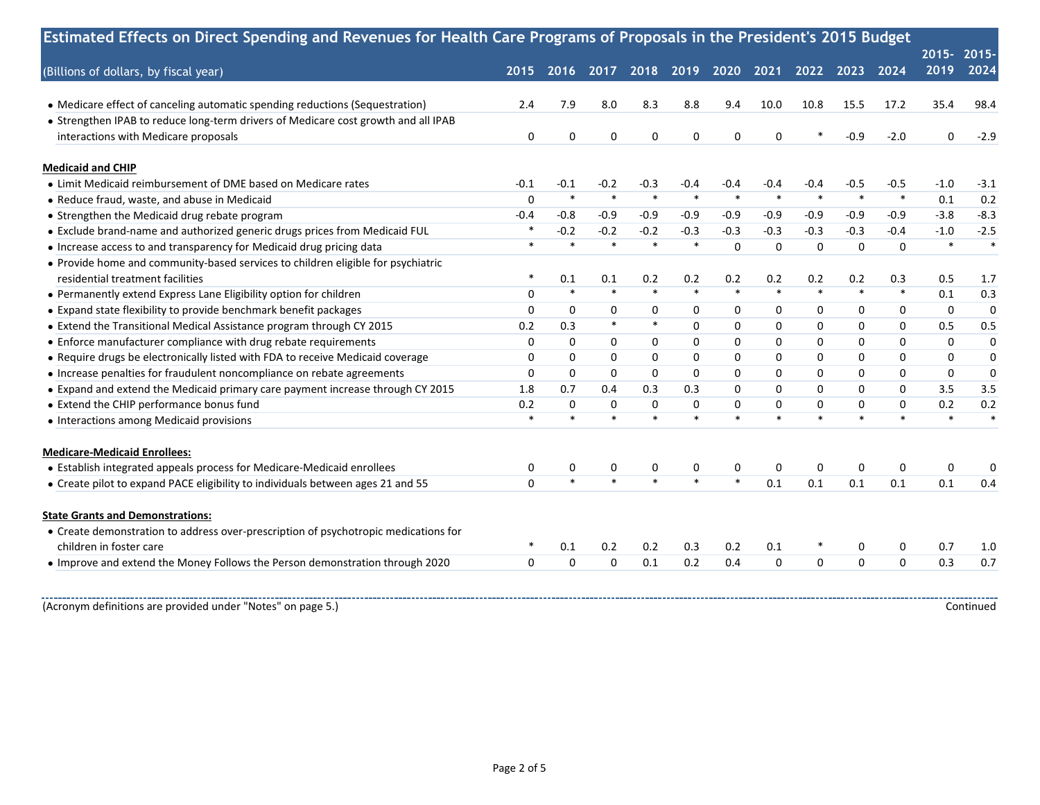|                                                                                     | Estimated Effects on Direct Spending and Revenues for Health Care Programs of Proposals in the President's 2015 Budget |             |                   |             |          |              |                   |             |                |             |              |             |
|-------------------------------------------------------------------------------------|------------------------------------------------------------------------------------------------------------------------|-------------|-------------------|-------------|----------|--------------|-------------------|-------------|----------------|-------------|--------------|-------------|
|                                                                                     |                                                                                                                        |             |                   |             |          |              |                   |             |                |             | 2015-2015-   |             |
| (Billions of dollars, by fiscal year)                                               | 2015                                                                                                                   | 2016        | 2017              | 2018 2019   |          | 2020         | 2021              |             | 2022 2023 2024 |             | 2019         | 2024        |
| • Medicare effect of canceling automatic spending reductions (Sequestration)        | 2.4                                                                                                                    | 7.9         | 8.0               | 8.3         | 8.8      | 9.4          | 10.0              | 10.8        | 15.5           | 17.2        | 35.4         | 98.4        |
| • Strengthen IPAB to reduce long-term drivers of Medicare cost growth and all IPAB  |                                                                                                                        |             |                   |             |          |              |                   |             |                |             |              |             |
| interactions with Medicare proposals                                                | 0                                                                                                                      | 0           | $\mathbf 0$       | 0           | 0        | $\mathbf 0$  | $\mathbf 0$       |             | $-0.9$         | $-2.0$      | 0            | $-2.9$      |
| <b>Medicaid and CHIP</b>                                                            |                                                                                                                        |             |                   |             |          |              |                   |             |                |             |              |             |
| • Limit Medicaid reimbursement of DME based on Medicare rates                       | $-0.1$                                                                                                                 | $-0.1$      | $-0.2$            | $-0.3$      | $-0.4$   | -0.4         | -0.4              | $-0.4$      | $-0.5$         | $-0.5$      | $-1.0$       | $-3.1$      |
| • Reduce fraud, waste, and abuse in Medicaid                                        | $\Omega$                                                                                                               | $\ast$      | $\ast$            | $\ast$      | $\ast$   | $\ast$       | $\ast$            | $\ast$      | $\ast$         | $\ast$      | 0.1          | 0.2         |
| • Strengthen the Medicaid drug rebate program                                       | $-0.4$                                                                                                                 | $-0.8$      | $-0.9$            | $-0.9$      | $-0.9$   | $-0.9$       | $-0.9$            | $-0.9$      | $-0.9$         | $-0.9$      | $-3.8$       | $-8.3$      |
| • Exclude brand-name and authorized generic drugs prices from Medicaid FUL          |                                                                                                                        | $-0.2$      | $-0.2$            | $-0.2$      | $-0.3$   | $-0.3$       | $-0.3$            | $-0.3$      | $-0.3$         | $-0.4$      | $-1.0$       | $-2.5$      |
| • Increase access to and transparency for Medicaid drug pricing data                | $\ast$                                                                                                                 | $\ast$      | $\ast$            |             | $\ast$   | $\mathbf 0$  | $\mathbf 0$       | 0           | $\mathbf 0$    | $\mathbf 0$ | $\ast$       | $\ast$      |
| • Provide home and community-based services to children eligible for psychiatric    |                                                                                                                        |             |                   |             |          |              |                   |             |                |             |              |             |
| residential treatment facilities                                                    | $\ast$                                                                                                                 | 0.1         | 0.1               | 0.2         | 0.2      | 0.2          | 0.2               | 0.2         | 0.2            | 0.3         | 0.5          | 1.7         |
| • Permanently extend Express Lane Eligibility option for children                   | $\mathbf 0$                                                                                                            | $\ast$      | $\ast$            | $\ast$      | $\ast$   | $\ast$       | $\ast$            | $\ast$      | $\ast$         | $\ast$      | 0.1          | 0.3         |
| • Expand state flexibility to provide benchmark benefit packages                    | $\mathbf 0$                                                                                                            | $\mathbf 0$ | $\mathbf 0$       | 0           | 0        | $\mathbf 0$  | 0                 | $\mathbf 0$ | 0              | $\mathbf 0$ | $\mathbf{0}$ | $\mathbf 0$ |
| • Extend the Transitional Medical Assistance program through CY 2015                | 0.2                                                                                                                    | 0.3         | $\ast$            | $\ast$      | $\Omega$ | $\mathbf{0}$ | $\mathbf 0$       | $\mathbf 0$ | 0              | $\Omega$    | 0.5          | 0.5         |
| • Enforce manufacturer compliance with drug rebate requirements                     | 0                                                                                                                      | $\Omega$    | $\mathbf 0$       | 0           | 0        | $\mathbf{0}$ | $\mathbf 0$       | $\mathbf 0$ | $\mathbf 0$    | $\Omega$    | $\Omega$     | $\mathbf 0$ |
| • Require drugs be electronically listed with FDA to receive Medicaid coverage      | 0                                                                                                                      | $\mathbf 0$ | $\mathbf 0$       | 0           | 0        | 0            | 0                 | $\mathbf 0$ | 0              | $\Omega$    | $\Omega$     | 0           |
| • Increase penalties for fraudulent noncompliance on rebate agreements              | 0                                                                                                                      | $\mathbf 0$ | $\mathbf 0$       | $\mathbf 0$ | 0        | 0            | $\mathbf 0$       | $\mathbf 0$ | $\mathbf 0$    | $\mathbf 0$ | $\mathbf 0$  | $\mathbf 0$ |
| • Expand and extend the Medicaid primary care payment increase through CY 2015      | 1.8                                                                                                                    | 0.7         | 0.4               | 0.3         | 0.3      | $\mathbf{0}$ | $\Omega$          | $\Omega$    | $\Omega$       | $\Omega$    | 3.5          | 3.5         |
| • Extend the CHIP performance bonus fund                                            | 0.2                                                                                                                    | $\mathbf 0$ | $\mathbf 0$       | $\mathbf 0$ | $\Omega$ | $\mathbf 0$  | $\Omega$          | $\mathbf 0$ | $\mathbf 0$    | $\Omega$    | 0.2          | 0.2         |
| • Interactions among Medicaid provisions                                            | $\ast$                                                                                                                 | $\ast$      | $\overline{\ast}$ |             | $\ast$   | $\ast$       | $\overline{\ast}$ | $\ast$      |                |             | $\ast$       |             |
| <b>Medicare-Medicaid Enrollees:</b>                                                 |                                                                                                                        |             |                   |             |          |              |                   |             |                |             |              |             |
| • Establish integrated appeals process for Medicare-Medicaid enrollees              | 0                                                                                                                      | 0           | 0                 | 0           | 0        | 0            | 0                 | $\mathbf 0$ | 0              | 0           | 0            | 0           |
| • Create pilot to expand PACE eligibility to individuals between ages 21 and 55     | $\Omega$                                                                                                               | $\ast$      | $\ast$            |             | $\ast$   | $\ast$       | 0.1               | 0.1         | 0.1            | 0.1         | 0.1          | 0.4         |
| <b>State Grants and Demonstrations:</b>                                             |                                                                                                                        |             |                   |             |          |              |                   |             |                |             |              |             |
| • Create demonstration to address over-prescription of psychotropic medications for |                                                                                                                        |             |                   |             |          |              |                   |             |                |             |              |             |
| children in foster care                                                             |                                                                                                                        | 0.1         | 0.2               | 0.2         | 0.3      | 0.2          | 0.1               |             | 0              | 0           | 0.7          | 1.0         |
| . Improve and extend the Money Follows the Person demonstration through 2020        | $\mathbf 0$                                                                                                            | $\mathbf 0$ | $\mathbf 0$       | 0.1         | 0.2      | 0.4          | $\mathbf 0$       | $\mathbf 0$ | $\Omega$       | $\Omega$    | 0.3          | 0.7         |
|                                                                                     |                                                                                                                        |             |                   |             |          |              |                   |             |                |             |              |             |
| (Acronym definitions are provided under "Notes" on page 5.)                         |                                                                                                                        |             |                   |             |          |              |                   |             |                |             |              | Continued   |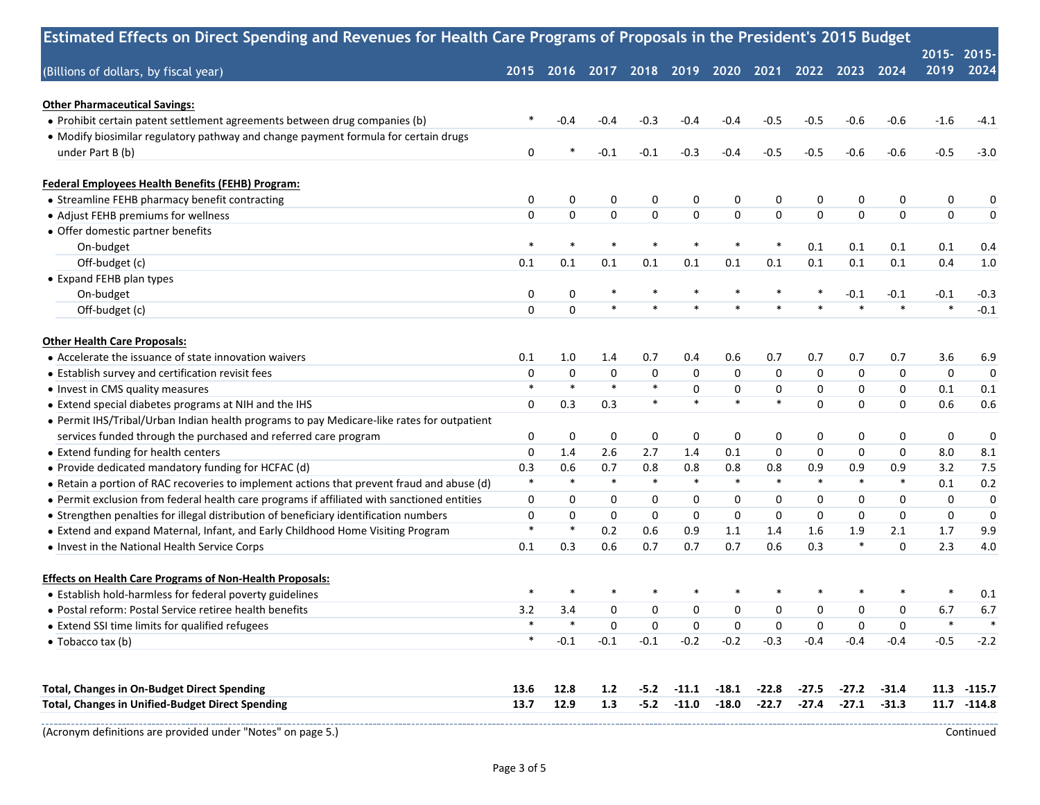|                                                                                             |             |                                    |                  |             |          |             |             |             |                |             | 2015-2015-       |             |
|---------------------------------------------------------------------------------------------|-------------|------------------------------------|------------------|-------------|----------|-------------|-------------|-------------|----------------|-------------|------------------|-------------|
| (Billions of dollars, by fiscal year)                                                       |             | 2015 2016 2017 2018 2019 2020 2021 |                  |             |          |             |             |             | 2022 2023 2024 |             | 2019             | 2024        |
| <b>Other Pharmaceutical Savings:</b>                                                        |             |                                    |                  |             |          |             |             |             |                |             |                  |             |
| · Prohibit certain patent settlement agreements between drug companies (b)                  |             | -0.4                               | $-0.4$           | $-0.3$      | $-0.4$   | $-0.4$      | $-0.5$      | $-0.5$      | $-0.6$         | $-0.6$      | $-1.6$           | $-4.1$      |
| • Modify biosimilar regulatory pathway and change payment formula for certain drugs         |             |                                    |                  |             |          |             |             |             |                |             |                  |             |
| under Part B (b)                                                                            | 0           |                                    | $-0.1$           | $-0.1$      | $-0.3$   | $-0.4$      | $-0.5$      | $-0.5$      | $-0.6$         | $-0.6$      | $-0.5$           | $-3.0$      |
| Federal Employees Health Benefits (FEHB) Program:                                           |             |                                    |                  |             |          |             |             |             |                |             |                  |             |
| • Streamline FEHB pharmacy benefit contracting                                              | 0           | 0                                  | $\boldsymbol{0}$ | 0           | 0        | 0           | 0           | 0           | 0              | 0           | 0                | 0           |
| • Adjust FEHB premiums for wellness                                                         | 0           | $\mathbf 0$                        | $\pmb{0}$        | $\pmb{0}$   | 0        | $\pmb{0}$   | $\mathbf 0$ | $\mathbf 0$ | $\mathbf 0$    | $\mathbf 0$ | $\pmb{0}$        |             |
| • Offer domestic partner benefits                                                           |             |                                    |                  |             |          |             |             |             |                |             |                  |             |
| On-budget                                                                                   | $\ast$      | $\ast$                             | $\ast$           | $\ast$      |          | $\ast$      | $\ast$      | 0.1         | 0.1            | 0.1         | 0.1              | 0.4         |
| Off-budget (c)                                                                              | 0.1         | 0.1                                | 0.1              | 0.1         | 0.1      | 0.1         | 0.1         | 0.1         | 0.1            | 0.1         | 0.4              | 1.0         |
| • Expand FEHB plan types                                                                    |             |                                    |                  |             |          |             |             |             |                |             |                  |             |
| On-budget                                                                                   | 0           | 0                                  | $\ast$           | $\ast$      |          | $\ast$      | $\ast$      | $\ast$      | $-0.1$         | $-0.1$      | $-0.1$           | $-0.3$      |
| Off-budget (c)                                                                              | 0           | $\mathbf 0$                        | $\ast$           | $\ast$      |          | $\ast$      | $\ast$      | $\ast$      | $\ast$         | $\ast$      | $\ast$           | $-0.1$      |
| <b>Other Health Care Proposals:</b>                                                         |             |                                    |                  |             |          |             |             |             |                |             |                  |             |
| • Accelerate the issuance of state innovation waivers                                       | 0.1         | 1.0                                | 1.4              | 0.7         | 0.4      | 0.6         | 0.7         | 0.7         | 0.7            | 0.7         | 3.6              | 6.9         |
| • Establish survey and certification revisit fees                                           | 0           | 0                                  | $\mathbf 0$      | $\mathbf 0$ | 0        | 0           | 0           | $\mathbf 0$ | $\mathbf 0$    | 0           | $\boldsymbol{0}$ |             |
| • Invest in CMS quality measures                                                            | $\ast$      | $\ast$                             | $\ast$           | $\ast$      | $\Omega$ | 0           | 0           | $\mathbf 0$ | $\mathbf 0$    | $\mathbf 0$ | 0.1              | 0.1         |
| • Extend special diabetes programs at NIH and the IHS                                       | 0           | 0.3                                | 0.3              | $\ast$      | $\ast$   | $\ast$      | $\ast$      | $\mathbf 0$ | $\mathbf 0$    | $\Omega$    | 0.6              | 0.6         |
| • Permit IHS/Tribal/Urban Indian health programs to pay Medicare-like rates for outpatient  |             |                                    |                  |             |          |             |             |             |                |             |                  |             |
| services funded through the purchased and referred care program                             | 0           | 0                                  | $\boldsymbol{0}$ | 0           | 0        | 0           | 0           | 0           | 0              | 0           | 0                |             |
| • Extend funding for health centers                                                         | $\mathbf 0$ | 1.4                                | 2.6              | 2.7         | 1.4      | 0.1         | 0           | $\mathbf 0$ | $\mathbf 0$    | $\mathbf 0$ | 8.0              | 8.1         |
| • Provide dedicated mandatory funding for HCFAC (d)                                         | 0.3         | 0.6                                | 0.7              | 0.8         | 0.8      | 0.8         | 0.8         | 0.9         | 0.9            | 0.9         | 3.2              | 7.5         |
| • Retain a portion of RAC recoveries to implement actions that prevent fraud and abuse (d)  | $\ast$      | $\ast$                             | $\ast$           | $\ast$      | $\ast$   | $\ast$      | $\ast$      | $\ast$      | $\ast$         | $\ast$      | 0.1              | 0.2         |
| . Permit exclusion from federal health care programs if affiliated with sanctioned entities | $\mathbf 0$ | $\mathbf 0$                        | 0                | 0           | 0        | $\mathbf 0$ | $\mathbf 0$ | 0           | 0              | $\mathbf 0$ | 0                |             |
| • Strengthen penalties for illegal distribution of beneficiary identification numbers       | 0           | $\mathbf 0$                        | $\mathbf 0$      | $\mathbf 0$ | 0        | $\mathbf 0$ | $\mathbf 0$ | $\mathbf 0$ | $\mathbf{0}$   | $\mathbf 0$ | 0                |             |
| • Extend and expand Maternal, Infant, and Early Childhood Home Visiting Program             | $\ast$      | $\ast$                             | 0.2              | 0.6         | 0.9      | 1.1         | 1.4         | 1.6         | 1.9            | 2.1         | 1.7              | 9.9         |
| • Invest in the National Health Service Corps                                               | 0.1         | 0.3                                | 0.6              | 0.7         | 0.7      | 0.7         | 0.6         | 0.3         | $\ast$         | $\mathbf 0$ | 2.3              | 4.0         |
| <b>Effects on Health Care Programs of Non-Health Proposals:</b>                             |             |                                    |                  |             |          |             |             |             |                |             |                  |             |
| • Establish hold-harmless for federal poverty guidelines                                    |             |                                    |                  |             |          |             |             |             |                |             |                  | 0.1         |
| • Postal reform: Postal Service retiree health benefits                                     | 3.2         | 3.4                                | $\mathbf 0$      | $\mathbf 0$ | 0        | $\mathbf 0$ | 0           | $\mathbf 0$ | $\mathbf 0$    | $\mathbf 0$ | 6.7              | 6.7         |
| • Extend SSI time limits for qualified refugees                                             | *           |                                    | $\boldsymbol{0}$ | 0           | 0        | 0           | 0           | 0           | 0              | 0           | $\ast$           |             |
| • Tobacco tax (b)                                                                           | $\ast$      | $-0.1$                             | $-0.1$           | $-0.1$      | $-0.2$   | $-0.2$      | $-0.3$      | $-0.4$      | $-0.4$         | $-0.4$      | $-0.5$           | $-2.2$      |
| <b>Total, Changes in On-Budget Direct Spending</b>                                          | 13.6        | 12.8                               | 1.2              | $-5.2$      | $-11.1$  | $-18.1$     | $-22.8$     | $-27.5$     | $-27.2$        | $-31.4$     | 11.3             | $-115.7$    |
| <b>Total, Changes in Unified-Budget Direct Spending</b>                                     | 13.7        | 12.9                               | 1.3              | $-5.2$      | $-11.0$  | $-18.0$     | $-22.7$     | $-27.4$     | $-27.1$        | $-31.3$     |                  | 11.7 -114.8 |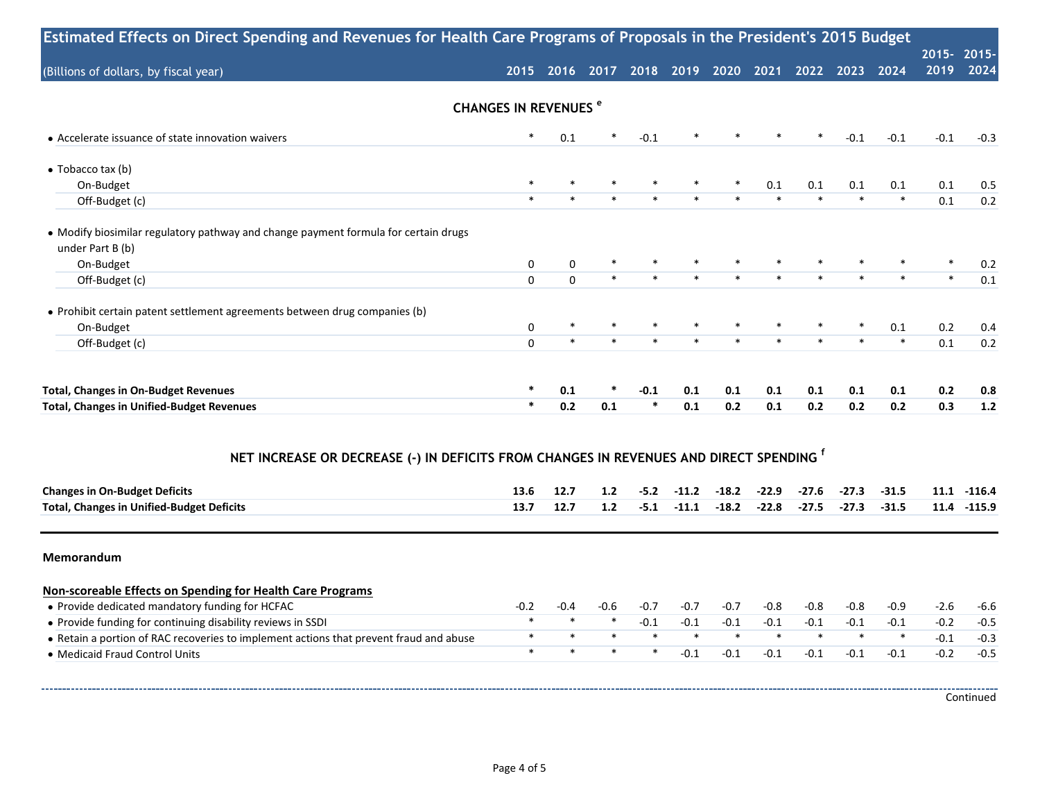| Estimated Effects on Direct Spending and Revenues for Health Care Programs of Proposals in the President's 2015 Budget |                                        |                                                   |        |        |         |         |         |         |         |         |                    |             |
|------------------------------------------------------------------------------------------------------------------------|----------------------------------------|---------------------------------------------------|--------|--------|---------|---------|---------|---------|---------|---------|--------------------|-------------|
| (Billions of dollars, by fiscal year)                                                                                  |                                        | 2015 2016 2017 2018 2019 2020 2021 2022 2023 2024 |        |        |         |         |         |         |         |         | 2015-2015-<br>2019 | 2024        |
|                                                                                                                        | <b>CHANGES IN REVENUES<sup>e</sup></b> |                                                   |        |        |         |         |         |         |         |         |                    |             |
| • Accelerate issuance of state innovation waivers                                                                      | $\ast$                                 | 0.1                                               | ∗      | $-0.1$ |         |         |         | $\ast$  | $-0.1$  | $-0.1$  | $-0.1$             | $-0.3$      |
| $\bullet$ Tobacco tax (b)                                                                                              |                                        |                                                   |        |        |         |         |         |         |         |         |                    |             |
| On-Budget                                                                                                              | $\ast$                                 | $\ast$                                            | $\ast$ | $\ast$ |         | $\ast$  | 0.1     | 0.1     | 0.1     | 0.1     | 0.1                | 0.5         |
| Off-Budget (c)                                                                                                         | $\ast$                                 | $\ast$                                            | $\ast$ | $\ast$ |         | $\ast$  | $\ast$  | $\ast$  | $\ast$  | $\ast$  | 0.1                | 0.2         |
| • Modify biosimilar regulatory pathway and change payment formula for certain drugs                                    |                                        |                                                   |        |        |         |         |         |         |         |         |                    |             |
| under Part B (b)                                                                                                       |                                        |                                                   | $\ast$ |        |         |         | $\ast$  |         |         |         | $\ast$             |             |
| On-Budget                                                                                                              | $\pmb{0}$<br>$\Omega$                  | 0<br>$\Omega$                                     | $\ast$ | $\ast$ |         | $\ast$  | $\ast$  | $\ast$  | $\ast$  |         | $\ast$             | 0.2<br>0.1  |
| Off-Budget (c)                                                                                                         |                                        |                                                   |        |        |         |         |         |         |         |         |                    |             |
| • Prohibit certain patent settlement agreements between drug companies (b)                                             |                                        |                                                   |        |        |         |         |         |         |         |         |                    |             |
| On-Budget                                                                                                              | 0                                      | $\ast$                                            |        |        |         |         | $\ast$  |         |         | 0.1     | 0.2                | 0.4         |
| Off-Budget (c)                                                                                                         | $\Omega$                               | $\ast$                                            | $\ast$ |        |         | $\ast$  | $\ast$  | $\ast$  |         | $\ast$  | 0.1                | 0.2         |
| <b>Total, Changes in On-Budget Revenues</b>                                                                            | $\ast$                                 | 0.1                                               |        | $-0.1$ | 0.1     | 0.1     | 0.1     | 0.1     | 0.1     | 0.1     | 0.2                | 0.8         |
| <b>Total, Changes in Unified-Budget Revenues</b>                                                                       | $\ast$                                 | 0.2                                               | 0.1    | $\ast$ | 0.1     | 0.2     | 0.1     | 0.2     | 0.2     | 0.2     | 0.3                | $1.2$       |
| NET INCREASE OR DECREASE (-) IN DEFICITS FROM CHANGES IN REVENUES AND DIRECT SPENDING <sup>1</sup>                     |                                        |                                                   |        |        |         |         |         |         |         |         |                    |             |
| <b>Changes in On-Budget Deficits</b>                                                                                   | 13.6                                   | 12.7                                              | 1.2    | $-5.2$ | $-11.2$ | $-18.2$ | $-22.9$ | $-27.6$ | $-27.3$ | $-31.5$ |                    | 11.1 -116.4 |
| <b>Total, Changes in Unified-Budget Deficits</b>                                                                       | 13.7                                   | 12.7                                              | 1.2    | $-5.1$ | $-11.1$ | $-18.2$ | $-22.8$ | $-27.5$ | $-27.3$ | $-31.5$ |                    | 11.4 -115.9 |
| Memorandum                                                                                                             |                                        |                                                   |        |        |         |         |         |         |         |         |                    |             |
| Non-scoreable Effects on Spending for Health Care Programs                                                             |                                        |                                                   |        |        |         |         |         |         |         |         |                    |             |
| • Provide dedicated mandatory funding for HCFAC                                                                        | $-0.2$                                 | $-0.4$                                            | $-0.6$ | $-0.7$ | $-0.7$  | $-0.7$  | $-0.8$  | $-0.8$  | $-0.8$  | $-0.9$  | $-2.6$             | $-6.6$      |
| • Provide funding for continuing disability reviews in SSDI                                                            | $\ast$                                 | $\ast$                                            | $\ast$ | $-0.1$ | $-0.1$  | $-0.1$  | $-0.1$  | $-0.1$  | $-0.1$  | $-0.1$  | $-0.2$             | $-0.5$      |
| • Retain a portion of RAC recoveries to implement actions that prevent fraud and abuse                                 | $\ast$                                 | $\ast$                                            | $\ast$ | $\ast$ | $\ast$  | $\ast$  | $\ast$  | $\ast$  | $\ast$  | $\ast$  | $-0.1$             | $-0.3$      |
| • Medicaid Fraud Control Units                                                                                         | $\ast$                                 | $\ast$                                            | $\ast$ | $\ast$ | $-0.1$  | $-0.1$  | $-0.1$  | $-0.1$  | $-0.1$  | $-0.1$  | $-0.2$             | $-0.5$      |
|                                                                                                                        |                                        |                                                   |        |        |         |         |         |         |         |         |                    |             |
|                                                                                                                        |                                        |                                                   |        |        |         |         |         |         |         |         |                    | Continued   |

Page 4 of 5